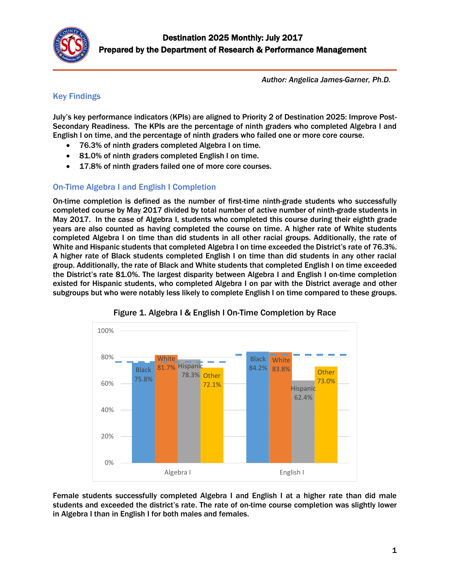

*Author: Angelica James-Garner, Ph.D.*

## Key Findings

July's key performance indicators (KPIs) are aligned to Priority 2 of Destination 2025: Improve Post-Secondary Readiness. The KPIs are the percentage of ninth graders who completed Algebra I and English I on time, and the percentage of ninth graders who failed one or more core course.

- 76.3% of ninth graders completed Algebra I on time.
- 81.0% of ninth graders completed English I on time.
- 17.8% of ninth graders failed one of more core courses.

## On-Time Algebra I and English I Completion

On-time completion is defined as the number of first-time ninth-grade students who successfully completed course by May 2017 divided by total number of active number of ninth-grade students in May 2017. In the case of Algebra I, students who completed this course during their eighth grade years are also counted as having completed the course on time. A higher rate of White students completed Algebra I on time than did students in all other racial groups. Additionally, the rate of White and Hispanic students that completed Algebra I on time exceeded the District's rate of 76.3%. A higher rate of Black students completed English I on time than did students in any other racial group. Additionally, the rate of Black and White students that completed English I on time exceeded the District's rate 81.0%. The largest disparity between Algebra I and English I on-time completion existed for Hispanic students, who completed Algebra I on par with the District average and other subgroups but who were notably less likely to complete English I on time compared to these groups.



Figure 1. Algebra I & English I On-Time Completion by Race

Female students successfully completed Algebra I and English I at a higher rate than did male students and exceeded the district's rate. The rate of on-time course completion was slightly lower in Algebra I than in English I for both males and females.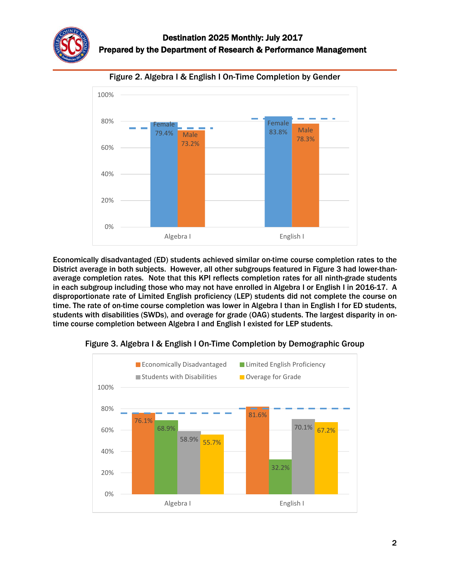Figure 2. Algebra I & English I On-Time Completion by Gender



Economically disadvantaged (ED) students achieved similar on-time course completion rates to the District average in both subjects. However, all other subgroups featured in Figure 3 had lower-thanaverage completion rates. Note that this KPI reflects completion rates for all ninth-grade students in each subgroup including those who may not have enrolled in Algebra I or English I in 2016-17. A disproportionate rate of Limited English proficiency (LEP) students did not complete the course on time. The rate of on-time course completion was lower in Algebra I than in English I for ED students, students with disabilities (SWDs), and overage for grade (OAG) students. The largest disparity in ontime course completion between Algebra I and English I existed for LEP students.



Figure 3. Algebra I & English I On-Time Completion by Demographic Group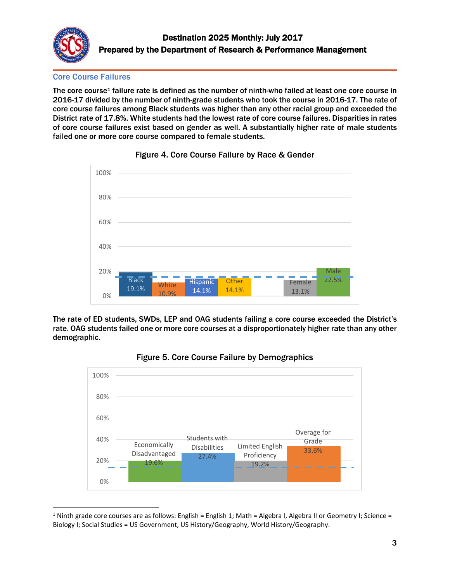

l

Core Course Failures

The core course<sup>1</sup> failure rate is defined as the number of ninth-who failed at least one core course in 2016-17 divided by the number of ninth-grade students who took the course in 2016-17. The rate of core course failures among Black students was higher than any other racial group and exceeded the District rate of 17.8%. White students had the lowest rate of core course failures. Disparities in rates of core course failures exist based on gender as well. A substantially higher rate of male students failed one or more core course compared to female students.





The rate of ED students, SWDs, LEP and OAG students failing a core course exceeded the District's rate. OAG students failed one or more core courses at a disproportionately higher rate than any other demographic.



Figure 5. Core Course Failure by Demographics

<sup>&</sup>lt;sup>1</sup> Ninth grade core courses are as follows: English = English 1; Math = Algebra I, Algebra II or Geometry I; Science = Biology I; Social Studies = US Government, US History/Geography, World History/Geography.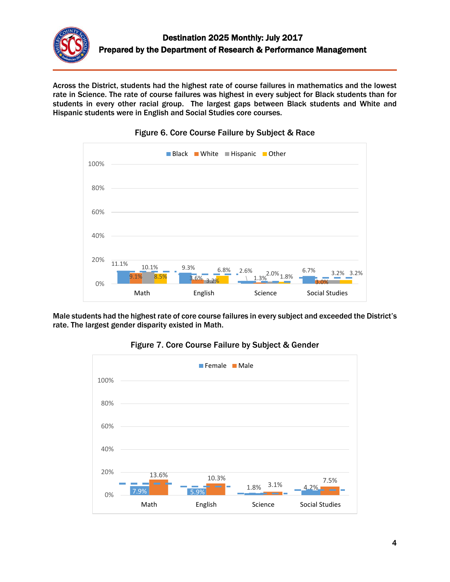

Across the District, students had the highest rate of course failures in mathematics and the lowest rate in Science. The rate of course failures was highest in every subject for Black students than for students in every other racial group. The largest gaps between Black students and White and Hispanic students were in English and Social Studies core courses.



Figure 6. Core Course Failure by Subject & Race

Male students had the highest rate of core course failures in every subject and exceeded the District's rate. The largest gender disparity existed in Math.



Figure 7. Core Course Failure by Subject & Gender